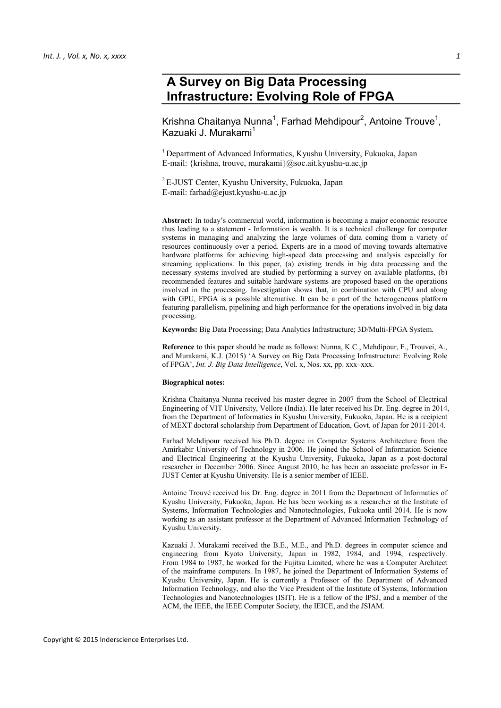# **A Survey on Big Data Processing Infrastructure: Evolving Role of FPGA**

Krishna Chaitanya Nunna<sup>1</sup>, Farhad Mehdipour<sup>2</sup>, Antoine Trouve<sup>1</sup>, Kazuaki J. Murakami<sup>1</sup>

<sup>1</sup> Department of Advanced Informatics, Kyushu University, Fukuoka, Japan E-mail: {krishna, trouve, murakami}@soc.ait.kyushu-u.ac.jp

<sup>2</sup>E-JUST Center, Kyushu University, Fukuoka, Japan E-mail: farhad@ejust.kyushu-u.ac.jp

**Abstract:** In today's commercial world, information is becoming a major economic resource thus leading to a statement - Information is wealth. It is a technical challenge for computer systems in managing and analyzing the large volumes of data coming from a variety of resources continuously over a period. Experts are in a mood of moving towards alternative hardware platforms for achieving high-speed data processing and analysis especially for streaming applications. In this paper, (a) existing trends in big data processing and the necessary systems involved are studied by performing a survey on available platforms, (b) recommended features and suitable hardware systems are proposed based on the operations involved in the processing. Investigation shows that, in combination with CPU and along with GPU, FPGA is a possible alternative. It can be a part of the heterogeneous platform featuring parallelism, pipelining and high performance for the operations involved in big data processing.

**Keywords:** Big Data Processing; Data Analytics Infrastructure; 3D/Multi-FPGA System.

**Reference** to this paper should be made as follows: Nunna, K.C., Mehdipour, F., Trouvei, A., and Murakami, K.J. (2015) 'A Survey on Big Data Processing Infrastructure: Evolving Role of FPGA', *Int. J. Big Data Intelligence*, Vol. x, Nos. xx, pp. xxx–xxx.

#### **Biographical notes:**

Krishna Chaitanya Nunna received his master degree in 2007 from the School of Electrical Engineering of VIT University, Vellore (India). He later received his Dr. Eng. degree in 2014, from the Department of Informatics in Kyushu University, Fukuoka, Japan. He is a recipient of MEXT doctoral scholarship from Department of Education, Govt. of Japan for 2011-2014.

Farhad Mehdipour received his Ph.D. degree in Computer Systems Architecture from the Amirkabir University of Technology in 2006. He joined the School of Information Science and Electrical Engineering at the Kyushu University, Fukuoka, Japan as a post-doctoral researcher in December 2006. Since August 2010, he has been an associate professor in E-JUST Center at Kyushu University. He is a senior member of IEEE.

Antoine Trouvé received his Dr. Eng. degree in 2011 from the Department of Informatics of Kyushu University, Fukuoka, Japan. He has been working as a researcher at the Institute of Systems, Information Technologies and Nanotechnologies, Fukuoka until 2014. He is now working as an assistant professor at the Department of Advanced Information Technology of Kyushu University.

Kazuaki J. Murakami received the B.E., M.E., and Ph.D. degrees in computer science and engineering from Kyoto University, Japan in 1982, 1984, and 1994, respectively. From 1984 to 1987, he worked for the Fujitsu Limited, where he was a Computer Architect of the mainframe computers. In 1987, he joined the Department of Information Systems of Kyushu University, Japan. He is currently a Professor of the Department of Advanced Information Technology, and also the Vice President of the Institute of Systems, Information Technologies and Nanotechnologies (ISIT). He is a fellow of the IPSJ, and a member of the ACM, the IEEE, the IEEE Computer Society, the IEICE, and the JSIAM.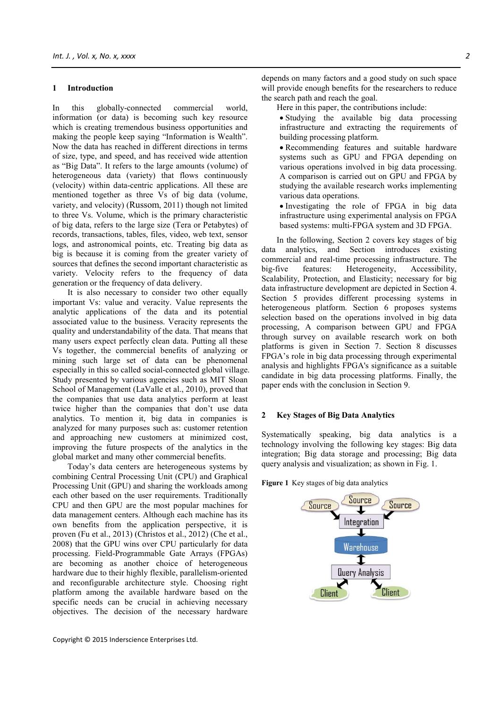## **1 Introduction**

In this globally-connected commercial world, information (or data) is becoming such key resource which is creating tremendous business opportunities and making the people keep saying "Information is Wealth". Now the data has reached in different directions in terms of size, type, and speed, and has received wide attention as "Big Data". It refers to the large amounts (volume) of heterogeneous data (variety) that flows continuously (velocity) within data-centric applications. All these are mentioned together as three Vs of big data (volume, variety, and velocity) (Russom, 2011) though not limited to three Vs. Volume, which is the primary characteristic of big data, refers to the large size (Tera or Petabytes) of records, transactions, tables, files, video, web text, sensor logs, and astronomical points, etc. Treating big data as big is because it is coming from the greater variety of sources that defines the second important characteristic as variety. Velocity refers to the frequency of data generation or the frequency of data delivery.

It is also necessary to consider two other equally important Vs: value and veracity. Value represents the analytic applications of the data and its potential associated value to the business. Veracity represents the quality and understandability of the data. That means that many users expect perfectly clean data. Putting all these Vs together, the commercial benefits of analyzing or mining such large set of data can be phenomenal especially in this so called social-connected global village. Study presented by various agencies such as MIT Sloan School of Management (LaValle et al., 2010), proved that the companies that use data analytics perform at least twice higher than the companies that don't use data analytics. To mention it, big data in companies is analyzed for many purposes such as: customer retention and approaching new customers at minimized cost, improving the future prospects of the analytics in the global market and many other commercial benefits.

Today's data centers are heterogeneous systems by combining Central Processing Unit (CPU) and Graphical Processing Unit (GPU) and sharing the workloads among each other based on the user requirements. Traditionally CPU and then GPU are the most popular machines for data management centers. Although each machine has its own benefits from the application perspective, it is proven (Fu et al., 2013) (Christos et al., 2012) (Che et al., 2008) that the GPU wins over CPU particularly for data processing. Field-Programmable Gate Arrays (FPGAs) are becoming as another choice of heterogeneous hardware due to their highly flexible, parallelism-oriented and reconfigurable architecture style. Choosing right platform among the available hardware based on the specific needs can be crucial in achieving necessary objectives. The decision of the necessary hardware depends on many factors and a good study on such space will provide enough benefits for the researchers to reduce the search path and reach the goal.

Here in this paper, the contributions include:

- Studying the available big data processing infrastructure and extracting the requirements of building processing platform.
- Recommending features and suitable hardware systems such as GPU and FPGA depending on various operations involved in big data processing. A comparison is carried out on GPU and FPGA by studying the available research works implementing various data operations.
- Investigating the role of FPGA in big data infrastructure using experimental analysis on FPGA based systems: multi-FPGA system and 3D FPGA.

In the following, Section 2 covers key stages of big data analytics, and Section introduces existing commercial and real-time processing infrastructure. The big-five features: Heterogeneity, Accessibility, Scalability, Protection, and Elasticity; necessary for big data infrastructure development are depicted in Section 4. Section 5 provides different processing systems in heterogeneous platform. Section 6 proposes systems selection based on the operations involved in big data processing, A comparison between GPU and FPGA through survey on available research work on both platforms is given in Section 7. Section 8 discusses FPGA's role in big data processing through experimental analysis and highlights FPGA's significance as a suitable candidate in big data processing platforms. Finally, the paper ends with the conclusion in Section 9.

## **2 Key Stages of Big Data Analytics**

Systematically speaking, big data analytics is a technology involving the following key stages: Big data integration; Big data storage and processing; Big data query analysis and visualization; as shown in Fig. 1.

**Figure 1** Key stages of big data analytics

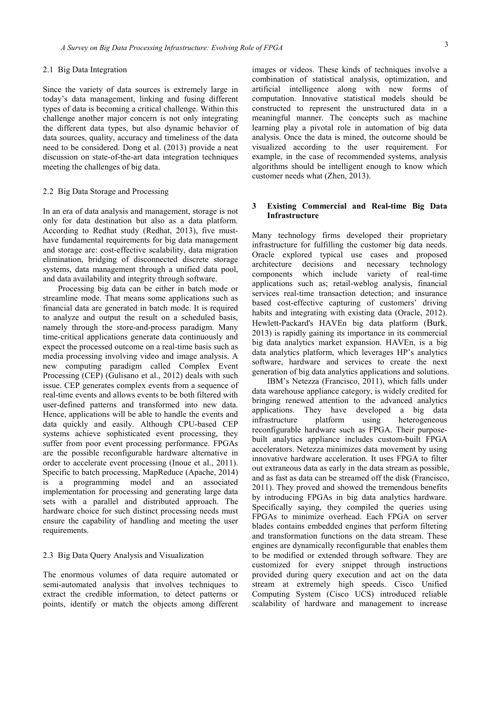#### 2.1 Big Data Integration

Since the variety of data sources is extremely large in today's data management, linking and fusing different types of data is becoming a critical challenge. Within this challenge another major concern is not only integrating the different data types, but also dynamic behavior of data sources, quality, accuracy and timeliness of the data need to be considered. Dong et al. (2013) provide a neat discussion on state-of-the-art data integration techniques meeting the challenges of big data.

# 2.2 Big Data Storage and Processing

In an era of data analysis and management, storage is not only for data destination but also as a data platform. According to Redhat study (Redhat, 2013), five musthave fundamental requirements for big data management and storage are: cost-effective scalability, data migration elimination, bridging of disconnected discrete storage systems, data management through a unified data pool, and data availability and integrity through software.

Processing big data can be either in batch mode or streamline mode. That means some applications such as financial data are generated in batch mode. It is required to analyze and output the result on a scheduled basis, namely through the store-and-process paradigm. Many time-critical applications generate data continuously and expect the processed outcome on a real-time basis such as media processing involving video and image analysis. A new computing paradigm called Complex Event Processing (CEP) (Gulisano et al., 2012) deals with such issue. CEP generates complex events from a sequence of real-time events and allows events to be both filtered with user-defined patterns and transformed into new data. Hence, applications will be able to handle the events and data quickly and easily. Although CPU-based CEP systems achieve sophisticated event processing, they suffer from poor event processing performance. FPGAs are the possible reconfigurable hardware alternative in order to accelerate event processing (Inoue et al., 2011). Specific to batch processing, MapReduce (Apache, 2014) is a programming model and an associated implementation for processing and generating large data sets with a parallel and distributed approach. The hardware choice for such distinct processing needs must ensure the capability of handling and meeting the user requirements.

## 2.3 Big Data Query Analysis and Visualization

The enormous volumes of data require automated or semi-automated analysis that involves techniques to extract the credible information, to detect patterns or points, identify or match the objects among different images or videos. These kinds of techniques involve a combination of statistical analysis, optimization, and artificial intelligence along with new forms of computation. Innovative statistical models should be constructed to represent the unstructured data in a meaningful manner. The concepts such as machine learning play a pivotal role in automation of big data analysis. Once the data is mined, the outcome should be visualized according to the user requirement. For example, in the case of recommended systems, analysis algorithms should be intelligent enough to know which customer needs what (Zhen, 2013).

# **3 Existing Commercial and Real-time Big Data Infrastructure**

Many technology firms developed their proprietary infrastructure for fulfilling the customer big data needs. Oracle explored typical use cases and proposed architecture decisions and necessary technology components which include variety of real-time applications such as; retail-weblog analysis, financial services real-time transaction detection; and insurance based cost-effective capturing of customers' driving habits and integrating with existing data (Oracle, 2012). Hewlett-Packard's HAVEn big data platform (Burk, 2013) is rapidly gaining its importance in its commercial big data analytics market expansion. HAVEn, is a big data analytics platform, which leverages HP's analytics software, hardware and services to create the next generation of big data analytics applications and solutions.

IBM's Netezza (Francisco, 2011), which falls under data warehouse appliance category, is widely credited for bringing renewed attention to the advanced analytics applications. They have developed a big data infrastructure platform using heterogeneous reconfigurable hardware such as FPGA. Their purposebuilt analytics appliance includes custom-built FPGA accelerators. Netezza minimizes data movement by using innovative hardware acceleration. It uses FPGA to filter out extraneous data as early in the data stream as possible, and as fast as data can be streamed off the disk (Francisco, 2011). They proved and showed the tremendous benefits by introducing FPGAs in big data analytics hardware. Specifically saying, they compiled the queries using FPGAs to minimize overhead. Each FPGA on server blades contains embedded engines that perform filtering and transformation functions on the data stream. These engines are dynamically reconfigurable that enables them to be modified or extended through software. They are customized for every snippet through instructions provided during query execution and act on the data stream at extremely high speeds. Cisco Unified Computing System (Cisco UCS) introduced reliable scalability of hardware and management to increase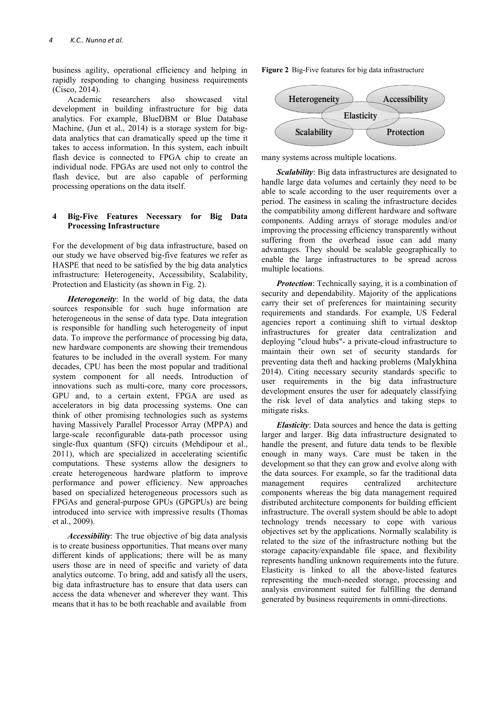business agility, operational efficiency and helping in rapidly responding to changing business requirements (Cisco, 2014).

Academic researchers also showcased vital development in building infrastructure for big data analytics. For example, BlueDBM or Blue Database Machine, (Jun et al., 2014) is a storage system for bigdata analytics that can dramatically speed up the time it takes to access information. In this system, each inbuilt flash device is connected to FPGA chip to create an individual node. FPGAs are used not only to control the flash device, but are also capable of performing processing operations on the data itself.

## **4 Big-Five Features Necessary for Big Data Processing Infrastructure**

For the development of big data infrastructure, based on our study we have observed big-five features we refer as HASPE that need to be satisfied by the big data analytics infrastructure: Heterogeneity, Accessibility, Scalability, Protection and Elasticity (as shown in Fig. 2).

*Heterogeneity*: In the world of big data, the data sources responsible for such huge information are heterogeneous in the sense of data type. Data integration is responsible for handling such heterogeneity of input data. To improve the performance of processing big data, new hardware components are showing their tremendous features to be included in the overall system. For many decades, CPU has been the most popular and traditional system component for all needs. Introduction of innovations such as multi-core, many core processors, GPU and, to a certain extent, FPGA are used as accelerators in big data processing systems. One can think of other promising technologies such as systems having Massively Parallel Processor Array (MPPA) and large-scale reconfigurable data-path processor using single-flux quantum (SFQ) circuits (Mehdipour et al., 2011), which are specialized in accelerating scientific computations. These systems allow the designers to create heterogeneous hardware platform to improve performance and power efficiency. New approaches based on specialized heterogeneous processors such as FPGAs and general-purpose GPUs (GPGPUs) are being introduced into service with impressive results (Thomas et al., 2009).

*Accessibility*: The true objective of big data analysis is to create business opportunities. That means over many different kinds of applications; there will be as many users those are in need of specific and variety of data analytics outcome. To bring, add and satisfy all the users, big data infrastructure has to ensure that data users can access the data whenever and wherever they want. This means that it has to be both reachable and available from

**Figure 2** Big-Five features for big data infrastructure



many systems across multiple locations.

*Scalability*: Big data infrastructures are designated to handle large data volumes and certainly they need to be able to scale according to the user requirements over a period. The easiness in scaling the infrastructure decides the compatibility among different hardware and software components. Adding arrays of storage modules and/or improving the processing efficiency transparently without suffering from the overhead issue can add many advantages. They should be scalable geographically to enable the large infrastructures to be spread across multiple locations.

*Protection*: Technically saying, it is a combination of security and dependability. Majority of the applications carry their set of preferences for maintaining security requirements and standards. For example, US Federal agencies report a continuing shift to virtual desktop infrastructures for greater data centralization and deploying "cloud hubs"- a private-cloud infrastructure to maintain their own set of security standards for preventing data theft and hacking problems (Malykhina 2014). Citing necessary security standards specific to user requirements in the big data infrastructure development ensures the user for adequately classifying the risk level of data analytics and taking steps to mitigate risks.

*Elasticity*: Data sources and hence the data is getting larger and larger. Big data infrastructure designated to handle the present, and future data tends to be flexible enough in many ways. Care must be taken in the development so that they can grow and evolve along with the data sources. For example, so far the traditional data management requires centralized architecture components whereas the big data management required distributed architecture components for building efficient infrastructure. The overall system should be able to adopt technology trends necessary to cope with various objectives set by the applications. Normally scalability is related to the size of the infrastructure nothing but the storage capacity/expandable file space, and flexibility represents handling unknown requirements into the future. Elasticity is linked to all the above-listed features representing the much-needed storage, processing and analysis environment suited for fulfilling the demand generated by business requirements in omni-directions.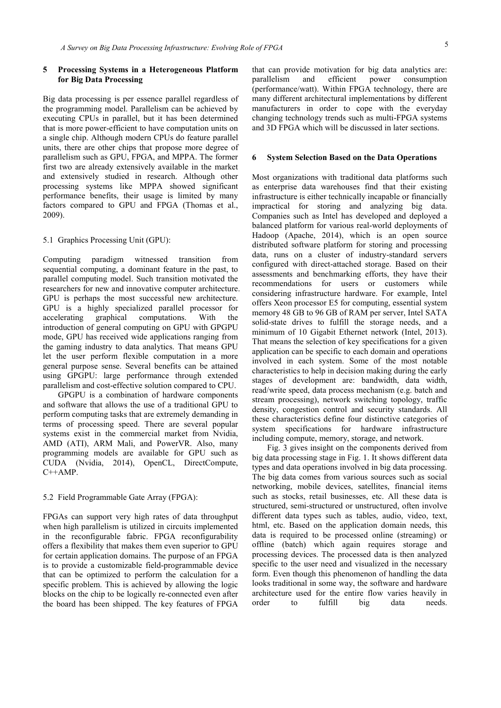## **5 Processing Systems in a Heterogeneous Platform for Big Data Processing**

Big data processing is per essence parallel regardless of the programming model. Parallelism can be achieved by executing CPUs in parallel, but it has been determined that is more power-efficient to have computation units on a single chip. Although modern CPUs do feature parallel units, there are other chips that propose more degree of parallelism such as GPU, FPGA, and MPPA. The former first two are already extensively available in the market and extensively studied in research. Although other processing systems like MPPA showed significant performance benefits, their usage is limited by many factors compared to GPU and FPGA (Thomas et al., 2009).

## 5.1 Graphics Processing Unit (GPU):

Computing paradigm witnessed transition from sequential computing, a dominant feature in the past, to parallel computing model. Such transition motivated the researchers for new and innovative computer architecture. GPU is perhaps the most successful new architecture. GPU is a highly specialized parallel processor for accelerating graphical computations. With the introduction of general computing on GPU with GPGPU mode, GPU has received wide applications ranging from the gaming industry to data analytics. That means GPU let the user perform flexible computation in a more general purpose sense. Several benefits can be attained using GPGPU: large performance through extended parallelism and cost-effective solution compared to CPU.

GPGPU is a combination of hardware components and software that allows the use of a traditional GPU to perform computing tasks that are extremely demanding in terms of processing speed. There are several popular systems exist in the commercial market from Nvidia, AMD (ATI), ARM Mali, and PowerVR. Also, many programming models are available for GPU such as CUDA (Nvidia, 2014), OpenCL, DirectCompute, C++AMP.

#### 5.2 Field Programmable Gate Array (FPGA):

FPGAs can support very high rates of data throughput when high parallelism is utilized in circuits implemented in the reconfigurable fabric. FPGA reconfigurability offers a flexibility that makes them even superior to GPU for certain application domains. The purpose of an FPGA is to provide a customizable field-programmable device that can be optimized to perform the calculation for a specific problem. This is achieved by allowing the logic blocks on the chip to be logically re-connected even after the board has been shipped. The key features of FPGA

that can provide motivation for big data analytics are: parallelism and efficient power consumption (performance/watt). Within FPGA technology, there are many different architectural implementations by different manufacturers in order to cope with the everyday changing technology trends such as multi-FPGA systems and 3D FPGA which will be discussed in later sections.

## **6 System Selection Based on the Data Operations**

Most organizations with traditional data platforms such as enterprise data warehouses find that their existing infrastructure is either technically incapable or financially impractical for storing and analyzing big data. Companies such as Intel has developed and deployed a balanced platform for various real-world deployments of Hadoop (Apache, 2014), which is an open source distributed software platform for storing and processing data, runs on a cluster of industry-standard servers configured with direct-attached storage. Based on their assessments and benchmarking efforts, they have their recommendations for users or customers while considering infrastructure hardware. For example, Intel offers Xeon processor E5 for computing, essential system memory 48 GB to 96 GB of RAM per server, Intel SATA solid-state drives to fulfill the storage needs, and a minimum of 10 Gigabit Ethernet network (Intel, 2013). That means the selection of key specifications for a given application can be specific to each domain and operations involved in each system. Some of the most notable characteristics to help in decision making during the early stages of development are: bandwidth, data width, read/write speed, data process mechanism (e.g. batch and stream processing), network switching topology, traffic density, congestion control and security standards. All these characteristics define four distinctive categories of system specifications for hardware infrastructure including compute, memory, storage, and network.

Fig. 3 gives insight on the components derived from big data processing stage in Fig. 1. It shows different data types and data operations involved in big data processing. The big data comes from various sources such as social networking, mobile devices, satellites, financial items such as stocks, retail businesses, etc. All these data is structured, semi-structured or unstructured, often involve different data types such as tables, audio, video, text, html, etc. Based on the application domain needs, this data is required to be processed online (streaming) or offline (batch) which again requires storage and processing devices. The processed data is then analyzed specific to the user need and visualized in the necessary form. Even though this phenomenon of handling the data looks traditional in some way, the software and hardware architecture used for the entire flow varies heavily in order to fulfill big data needs.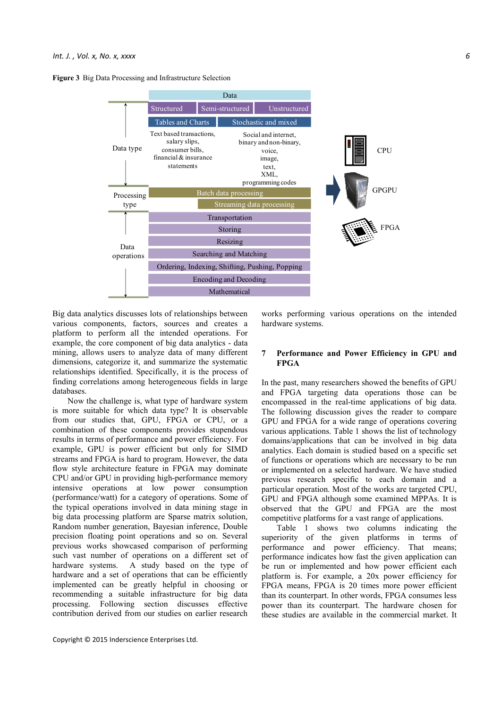**Figure 3** Big Data Processing and Infrastructure Selection



Big data analytics discusses lots of relationships between various components, factors, sources and creates a platform to perform all the intended operations. For example, the core component of big data analytics - data mining, allows users to analyze data of many different dimensions, categorize it, and summarize the systematic relationships identified. Specifically, it is the process of finding correlations among heterogeneous fields in large databases.

Now the challenge is, what type of hardware system is more suitable for which data type? It is observable from our studies that, GPU, FPGA or CPU, or a combination of these components provides stupendous results in terms of performance and power efficiency. For example, GPU is power efficient but only for SIMD streams and FPGA is hard to program. However, the data flow style architecture feature in FPGA may dominate CPU and/or GPU in providing high-performance memory intensive operations at low power consumption (performance/watt) for a category of operations. Some of the typical operations involved in data mining stage in big data processing platform are Sparse matrix solution, Random number generation, Bayesian inference, Double precision floating point operations and so on. Several previous works showcased comparison of performing such vast number of operations on a different set of hardware systems. A study based on the type of hardware and a set of operations that can be efficiently implemented can be greatly helpful in choosing or recommending a suitable infrastructure for big data processing. Following section discusses effective contribution derived from our studies on earlier research

works performing various operations on the intended hardware systems.

## **7 Performance and Power Efficiency in GPU and FPGA**

In the past, many researchers showed the benefits of GPU and FPGA targeting data operations those can be encompassed in the real-time applications of big data. The following discussion gives the reader to compare GPU and FPGA for a wide range of operations covering various applications. Table 1 shows the list of technology domains/applications that can be involved in big data analytics. Each domain is studied based on a specific set of functions or operations which are necessary to be run or implemented on a selected hardware. We have studied previous research specific to each domain and a particular operation. Most of the works are targeted CPU, GPU and FPGA although some examined MPPAs. It is observed that the GPU and FPGA are the most competitive platforms for a vast range of applications.

Table 1 shows two columns indicating the superiority of the given platforms in terms of performance and power efficiency. That means; performance indicates how fast the given application can be run or implemented and how power efficient each platform is. For example, a 20x power efficiency for FPGA means, FPGA is 20 times more power efficient than its counterpart. In other words, FPGA consumes less power than its counterpart. The hardware chosen for these studies are available in the commercial market. It

Copyright © 2015 Inderscience Enterprises Ltd.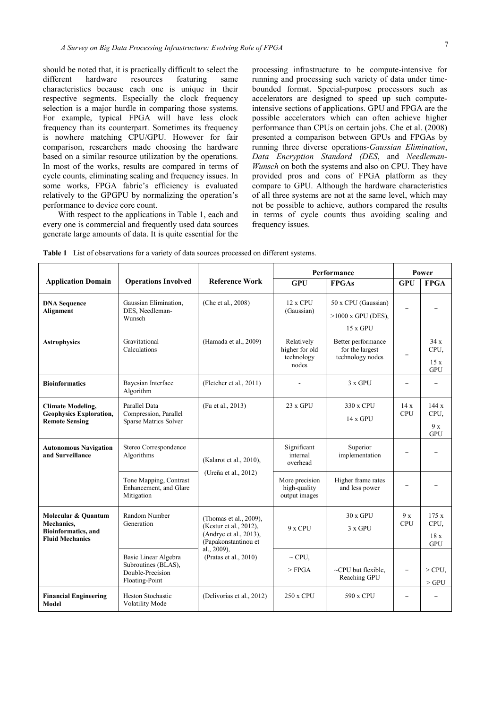should be noted that, it is practically difficult to select the different hardware resources featuring same characteristics because each one is unique in their respective segments. Especially the clock frequency selection is a major hurdle in comparing those systems. For example, typical FPGA will have less clock frequency than its counterpart. Sometimes its frequency is nowhere matching CPU/GPU. However for fair comparison, researchers made choosing the hardware based on a similar resource utilization by the operations. In most of the works, results are compared in terms of cycle counts, eliminating scaling and frequency issues. In some works, FPGA fabric's efficiency is evaluated relatively to the GPGPU by normalizing the operation's performance to device core count.

With respect to the applications in Table 1, each and every one is commercial and frequently used data sources generate large amounts of data. It is quite essential for the processing infrastructure to be compute-intensive for running and processing such variety of data under timebounded format. Special-purpose processors such as accelerators are designed to speed up such computeintensive sections of applications. GPU and FPGA are the possible accelerators which can often achieve higher performance than CPUs on certain jobs. Che et al. (2008) presented a comparison between GPUs and FPGAs by running three diverse operations-*Gaussian Elimination*, *Data Encryption Standard (DES*, and *Needleman-Wunsch* on both the systems and also on CPU. They have provided pros and cons of FPGA platform as they compare to GPU. Although the hardware characteristics of all three systems are not at the same level, which may not be possible to achieve, authors compared the results in terms of cycle counts thus avoiding scaling and frequency issues.

|                                                                                            |                                                                                   |                                                                                                                                            | Performance                                         |                                                           | Power                    |                                   |
|--------------------------------------------------------------------------------------------|-----------------------------------------------------------------------------------|--------------------------------------------------------------------------------------------------------------------------------------------|-----------------------------------------------------|-----------------------------------------------------------|--------------------------|-----------------------------------|
| <b>Application Domain</b>                                                                  | <b>Operations Involved</b>                                                        | <b>Reference Work</b>                                                                                                                      | <b>GPU</b>                                          | <b>FPGAs</b>                                              | <b>GPU</b>               | <b>FPGA</b>                       |
| <b>DNA</b> Sequence<br>Alignment                                                           | Gaussian Elimination,<br>DES, Needleman-<br>Wunsch                                | (Che et al., 2008)                                                                                                                         | $12 \times CPU$<br>(Gaussian)                       | 50 x CPU (Gaussian)<br>$>1000$ x GPU (DES),<br>15 x GPU   |                          |                                   |
| <b>Astrophysics</b>                                                                        | Gravitational<br>Calculations                                                     | (Hamada et al., 2009)                                                                                                                      | Relatively<br>higher for old<br>technology<br>nodes | Better performance<br>for the largest<br>technology nodes |                          | 34x<br>CPU.<br>15x<br><b>GPU</b>  |
| <b>Bioinformatics</b>                                                                      | Bayesian Interface<br>Algorithm                                                   | (Fletcher et al., 2011)                                                                                                                    |                                                     | $3 \times$ GPU                                            | $\overline{\phantom{0}}$ |                                   |
| <b>Climate Modeling,</b><br><b>Geophysics Exploration,</b><br><b>Remote Sensing</b>        | Parallel Data<br>Compression, Parallel<br>Sparse Matrics Solver                   | (Fu et al., 2013)                                                                                                                          | 23 x GPU                                            | 330 x CPU<br>$14 \times$ GPU                              | 14x<br><b>CPU</b>        | 144x<br>CPU,<br>9x<br><b>GPU</b>  |
| <b>Autonomous Navigation</b><br>and Surveillance                                           | Stereo Correspondence<br>Algorithms                                               | (Kalarot et al., 2010),<br>(Ureña et al., 2012)                                                                                            | Significant<br>internal<br>overhead                 | Superior<br>implementation                                |                          |                                   |
|                                                                                            | Tone Mapping, Contrast<br>Enhancement, and Glare<br>Mitigation                    |                                                                                                                                            | More precision<br>high-quality<br>output images     | Higher frame rates<br>and less power                      |                          |                                   |
| Molecular & Ouantum<br>Mechanics,<br><b>Bioinformatics</b> , and<br><b>Fluid Mechanics</b> | Random Number<br>Generation                                                       | (Thomas et al., 2009),<br>(Kestur et al., 2012),<br>(Andryc et al., 2013),<br>(Papakonstantinou et<br>al., 2009),<br>(Pratas et al., 2010) | 9 x CPU                                             | $30x$ GPU<br>3 x GPU                                      | 9x<br><b>CPU</b>         | 175x<br>CPU,<br>18x<br><b>GPU</b> |
|                                                                                            | Basic Linear Algebra<br>Subroutines (BLAS),<br>Double-Precision<br>Floating-Point |                                                                                                                                            | $\sim$ CPU.<br>$>$ FPGA                             | $\sim$ CPU but flexible.<br>Reaching GPU                  |                          | $>$ CPU.<br>$>$ GPU               |
| <b>Financial Engineering</b><br>Model                                                      | <b>Heston Stochastic</b><br><b>Volatility Mode</b>                                | (Delivorias et al., 2012)                                                                                                                  | 250 x CPU                                           | 590 x CPU                                                 |                          |                                   |

**Table 1** List of observations for a variety of data sources processed on different systems.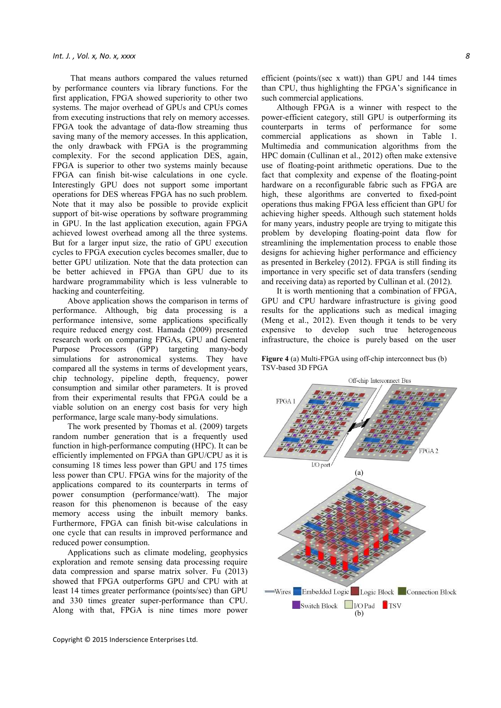That means authors compared the values returned by performance counters via library functions. For the first application, FPGA showed superiority to other two systems. The major overhead of GPUs and CPUs comes from executing instructions that rely on memory accesses. FPGA took the advantage of data-flow streaming thus saving many of the memory accesses. In this application, the only drawback with FPGA is the programming complexity. For the second application DES, again, FPGA is superior to other two systems mainly because FPGA can finish bit-wise calculations in one cycle. Interestingly GPU does not support some important operations for DES whereas FPGA has no such problem. Note that it may also be possible to provide explicit support of bit-wise operations by software programming in GPU. In the last application execution, again FPGA achieved lowest overhead among all the three systems. But for a larger input size, the ratio of GPU execution cycles to FPGA execution cycles becomes smaller, due to better GPU utilization. Note that the data protection can be better achieved in FPGA than GPU due to its hardware programmability which is less vulnerable to hacking and counterfeiting.

Above application shows the comparison in terms of performance. Although, big data processing is a performance intensive, some applications specifically require reduced energy cost. Hamada (2009) presented research work on comparing FPGAs, GPU and General Purpose Processors (GPP) targeting many-body simulations for astronomical systems. They have compared all the systems in terms of development years, chip technology, pipeline depth, frequency, power consumption and similar other parameters. It is proved from their experimental results that FPGA could be a viable solution on an energy cost basis for very high performance, large scale many-body simulations.

The work presented by Thomas et al. (2009) targets random number generation that is a frequently used function in high-performance computing (HPC). It can be efficiently implemented on FPGA than GPU/CPU as it is consuming 18 times less power than GPU and 175 times less power than CPU. FPGA wins for the majority of the applications compared to its counterparts in terms of power consumption (performance/watt). The major reason for this phenomenon is because of the easy memory access using the inbuilt memory banks. Furthermore, FPGA can finish bit-wise calculations in one cycle that can results in improved performance and reduced power consumption.

Applications such as climate modeling, geophysics exploration and remote sensing data processing require data compression and sparse matrix solver. Fu (2013) showed that FPGA outperforms GPU and CPU with at least 14 times greater performance (points/sec) than GPU and 330 times greater super-performance than CPU. Along with that, FPGA is nine times more power

Copyright © 2015 Inderscience Enterprises Ltd.

efficient (points/(sec x watt)) than GPU and 144 times than CPU, thus highlighting the FPGA's significance in such commercial applications.

Although FPGA is a winner with respect to the power-efficient category, still GPU is outperforming its counterparts in terms of performance for some commercial applications as shown in Table 1. Multimedia and communication algorithms from the HPC domain (Cullinan et al., 2012) often make extensive use of floating-point arithmetic operations. Due to the fact that complexity and expense of the floating-point hardware on a reconfigurable fabric such as FPGA are high, these algorithms are converted to fixed-point operations thus making FPGA less efficient than GPU for achieving higher speeds. Although such statement holds for many years, industry people are trying to mitigate this problem by developing floating-point data flow for streamlining the implementation process to enable those designs for achieving higher performance and efficiency as presented in Berkeley (2012). FPGA is still finding its importance in very specific set of data transfers (sending and receiving data) as reported by Cullinan et al. (2012).

It is worth mentioning that a combination of FPGA, GPU and CPU hardware infrastructure is giving good results for the applications such as medical imaging (Meng et al., 2012). Even though it tends to be very expensive to develop such true heterogeneous infrastructure, the choice is purely based on the user



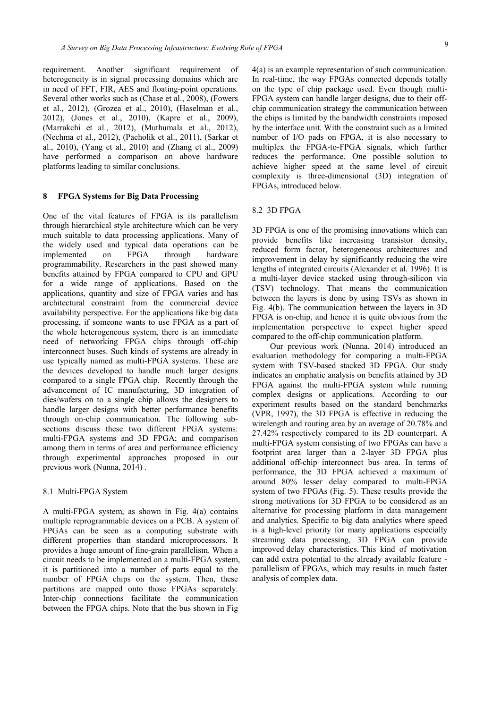requirement. Another significant requirement of heterogeneity is in signal processing domains which are in need of FFT, FIR, AES and floating-point operations. Several other works such as (Chase et al., 2008), (Fowers et al., 2012), (Grozea et al., 2010), (Haselman et al., 2012), (Jones et al., 2010), (Kapre et al., 2009), (Marrakchi et al., 2012), (Muthumala et al., 2012), (Nechma et al., 2012), (Pacholik et al., 2011), (Sarkar et al., 2010), (Yang et al., 2010) and (Zhang et al., 2009) have performed a comparison on above hardware platforms leading to similar conclusions.

#### **8 FPGA Systems for Big Data Processing**

One of the vital features of FPGA is its parallelism through hierarchical style architecture which can be very much suitable to data processing applications. Many of the widely used and typical data operations can be implemented on FPGA through hardware programmability. Researchers in the past showed many benefits attained by FPGA compared to CPU and GPU for a wide range of applications. Based on the applications, quantity and size of FPGA varies and has architectural constraint from the commercial device availability perspective. For the applications like big data processing, if someone wants to use FPGA as a part of the whole heterogeneous system, there is an immediate need of networking FPGA chips through off-chip interconnect buses. Such kinds of systems are already in use typically named as multi-FPGA systems. These are the devices developed to handle much larger designs compared to a single FPGA chip. Recently through the advancement of IC manufacturing, 3D integration of dies/wafers on to a single chip allows the designers to handle larger designs with better performance benefits through on-chip communication. The following subsections discuss these two different FPGA systems: multi-FPGA systems and 3D FPGA; and comparison among them in terms of area and performance efficiency through experimental approaches proposed in our previous work (Nunna, 2014) .

## 8.1 Multi-FPGA System

A multi-FPGA system, as shown in Fig. 4(a) contains multiple reprogrammable devices on a PCB. A system of FPGAs can be seen as a computing substrate with different properties than standard microprocessors. It provides a huge amount of fine-grain parallelism. When a circuit needs to be implemented on a multi-FPGA system, it is partitioned into a number of parts equal to the number of FPGA chips on the system. Then, these partitions are mapped onto those FPGAs separately. Inter-chip connections facilitate the communication between the FPGA chips. Note that the bus shown in Fig

4(a) is an example representation of such communication. In real-time, the way FPGAs connected depends totally on the type of chip package used. Even though multi-FPGA system can handle larger designs, due to their offchip communication strategy the communication between the chips is limited by the bandwidth constraints imposed by the interface unit. With the constraint such as a limited number of I/O pads on FPGA, it is also necessary to multiplex the FPGA-to-FPGA signals, which further reduces the performance. One possible solution to achieve higher speed at the same level of circuit complexity is three-dimensional (3D) integration of FPGAs, introduced below.

# 8.2 3D FPGA

3D FPGA is one of the promising innovations which can provide benefits like increasing transistor density, reduced form factor, heterogeneous architectures and improvement in delay by significantly reducing the wire lengths of integrated circuits (Alexander et al. 1996). It is a multi-layer device stacked using through-silicon via (TSV) technology. That means the communication between the layers is done by using TSVs as shown in Fig. 4(b). The communication between the layers in 3D FPGA is on-chip, and hence it is quite obvious from the implementation perspective to expect higher speed compared to the off-chip communication platform.

Our previous work (Nunna, 2014) introduced an evaluation methodology for comparing a multi-FPGA system with TSV-based stacked 3D FPGA. Our study indicates an emphatic analysis on benefits attained by 3D FPGA against the multi-FPGA system while running complex designs or applications. According to our experiment results based on the standard benchmarks (VPR, 1997), the 3D FPGA is effective in reducing the wirelength and routing area by an average of 20.78% and 27.42% respectively compared to its 2D counterpart. A multi-FPGA system consisting of two FPGAs can have a footprint area larger than a 2-layer 3D FPGA plus additional off-chip interconnect bus area. In terms of performance, the 3D FPGA achieved a maximum of around 80% lesser delay compared to multi-FPGA system of two FPGAs (Fig. 5). These results provide the strong motivations for 3D FPGA to be considered as an alternative for processing platform in data management and analytics. Specific to big data analytics where speed is a high-level priority for many applications especially streaming data processing, 3D FPGA can provide improved delay characteristics. This kind of motivation can add extra potential to the already available feature parallelism of FPGAs, which may results in much faster analysis of complex data.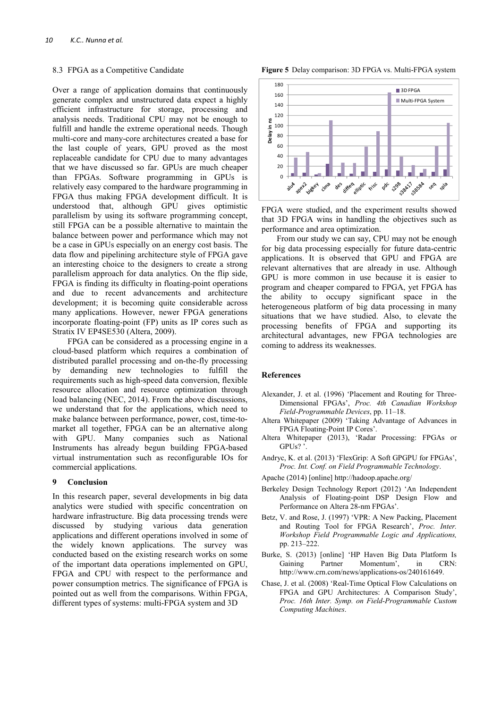#### 8.3 FPGA as a Competitive Candidate

Over a range of application domains that continuously generate complex and unstructured data expect a highly efficient infrastructure for storage, processing and analysis needs. Traditional CPU may not be enough to fulfill and handle the extreme operational needs. Though multi-core and many-core architectures created a base for the last couple of years, GPU proved as the most replaceable candidate for CPU due to many advantages that we have discussed so far. GPUs are much cheaper than FPGAs. Software programming in GPUs is relatively easy compared to the hardware programming in FPGA thus making FPGA development difficult. It is understood that, although GPU gives optimistic parallelism by using its software programming concept, still FPGA can be a possible alternative to maintain the balance between power and performance which may not be a case in GPUs especially on an energy cost basis. The data flow and pipelining architecture style of FPGA gave an interesting choice to the designers to create a strong parallelism approach for data analytics. On the flip side, FPGA is finding its difficulty in floating-point operations and due to recent advancements and architecture development; it is becoming quite considerable across many applications. However, newer FPGA generations incorporate floating-point (FP) units as IP cores such as Stratix IV EP4SE530 (Altera, 2009).

FPGA can be considered as a processing engine in a cloud-based platform which requires a combination of distributed parallel processing and on-the-fly processing by demanding new technologies to fulfill the requirements such as high-speed data conversion, flexible resource allocation and resource optimization through load balancing (NEC, 2014). From the above discussions, we understand that for the applications, which need to make balance between performance, power, cost, time-tomarket all together, FPGA can be an alternative along with GPU. Many companies such as National Instruments has already begun building FPGA-based virtual instrumentation such as reconfigurable IOs for commercial applications.

#### **9 Conclusion**

In this research paper, several developments in big data analytics were studied with specific concentration on hardware infrastructure. Big data processing trends were discussed by studying various data generation applications and different operations involved in some of the widely known applications. The survey was conducted based on the existing research works on some of the important data operations implemented on GPU, FPGA and CPU with respect to the performance and power consumption metrics. The significance of FPGA is pointed out as well from the comparisons. Within FPGA, different types of systems: multi-FPGA system and 3D





FPGA were studied, and the experiment results showed that 3D FPGA wins in handling the objectives such as performance and area optimization.

From our study we can say, CPU may not be enough for big data processing especially for future data-centric applications. It is observed that GPU and FPGA are relevant alternatives that are already in use. Although GPU is more common in use because it is easier to program and cheaper compared to FPGA, yet FPGA has the ability to occupy significant space in the heterogeneous platform of big data processing in many situations that we have studied. Also, to elevate the processing benefits of FPGA and supporting its architectural advantages, new FPGA technologies are coming to address its weaknesses.

#### **References**

- Alexander, J. et al. (1996) 'Placement and Routing for Three-Dimensional FPGAs', *Proc. 4th Canadian Workshop Field-Programmable Devices*, pp. 11–18.
- Altera Whitepaper (2009) 'Taking Advantage of Advances in FPGA Floating-Point IP Cores'.
- Altera Whitepaper (2013), 'Radar Processing: FPGAs or GPUs? '.
- Andryc, K. et al. (2013) 'FlexGrip: A Soft GPGPU for FPGAs', *Proc. Int. Conf. on Field Programmable Technology*.
- Apache (2014) [online] http://hadoop.apache.org/
- Berkeley Design Technology Report (2012) 'An Independent Analysis of Floating-point DSP Design Flow and Performance on Altera 28-nm FPGAs'.
- Betz, V. and Rose, J. (1997) 'VPR: A New Packing, Placement and Routing Tool for FPGA Research', *Proc. Inter. Workshop Field Programmable Logic and Applications,* pp. 213–222.
- Burke, S. (2013) [online] 'HP Haven Big Data Platform Is Gaining Partner Momentum', in CRN: http://www.crn.com/news/applications-os/240161649.
- Chase, J. et al. (2008) 'Real-Time Optical Flow Calculations on FPGA and GPU Architectures: A Comparison Study', *Proc. 16th Inter. Symp. on Field-Programmable Custom Computing Machines*.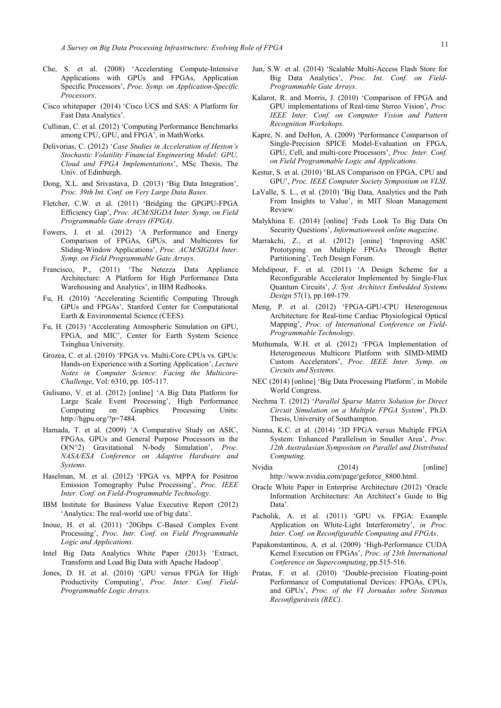- Che, S. et al. (2008) 'Accelerating Compute-Intensive Applications with GPUs and FPGAs, Application Specific Processors', *Proc. Symp. on Application-Specific Processors*.
- Cisco whitepaper (2014) 'Cisco UCS and SAS: A Platform for Fast Data Analytics'.
- Cullinan, C. et al. (2012) 'Computing Performance Benchmarks among CPU, GPU, and FPGA', in MathWorks.
- Delivorias, C. (2012) '*Case Studies in Acceleration of Heston's Stochastic Volatility Financial Engineering Model: GPU, Cloud and FPGA Implementations*', MSc Thesis, The Univ. of Edinburgh.
- Dong, X.L. and Srivastava, D. (2013) 'Big Data Integration', *Proc. 39th Int. Conf. on Very Large Data Bases*.
- Fletcher, C.W. et al. (2011) 'Bridging the GPGPU-FPGA Efficiency Gap', *Proc. ACM/SIGDA Inter. Symp. on Field Programmable Gate Arrays (FPGA)*.
- Fowers, J. et al. (2012) 'A Performance and Energy Comparison of FPGAs, GPUs, and Multicores for Sliding-Window Applications', *Proc. ACM/SIGDA Inter. Symp. on Field Programmable Gate Arrays*.
- Francisco, P., (2011) 'The Netezza Data Appliance Architecture: A Platform for High Performance Data Warehousing and Analytics', in IBM Redbooks.
- Fu, H. (2010) 'Accelerating Scientific Computing Through GPUs and FPGAs', Stanford Center for Computational Earth & Environmental Science (CEES).
- Fu, H. (2013) 'Accelerating Atmospheric Simulation on GPU, FPGA, and MIC', Center for Earth System Science Tsinghua University.
- Grozea, C. et al. (2010) 'FPGA vs. Multi-Core CPUs vs. GPUs: Hands-on Experience with a Sorting Application', *Lecture Notes in Computer Science: Facing the Multicore-Challenge*, Vol: 6310, pp. 105-117.
- Gulisano, V. et al. (2012) [online] 'A Big Data Platform for Large Scale Event Processing', High Performance Computing on Graphics Processing Units: http://hgpu.org/?p=7484.
- Hamada, T. et al. (2009) 'A Comparative Study on ASIC, FPGAs, GPUs and General Purpose Processors in the O(N^2) Gravitational N-body Simulation', *Proc. NASA/ESA Conference on Adaptive Hardware and Systems*.
- Haselman, M. et al. (2012) 'FPGA vs. MPPA for Positron Emission Tomography Pulse Processing', *Proc. IEEE Inter. Conf. on Field-Programmable Technology*.
- IBM Institute for Business Value Executive Report (2012) 'Analytics: The real-world use of big data'.
- Inoue, H. et al. (2011) '20Gbps C-Based Complex Event Processing', *Proc. Intr. Conf. on Field Programmable Logic and Applications*.
- Intel Big Data Analytics White Paper (2013) 'Extract, Transform and Load Big Data with Apache Hadoop'.
- Jones, D. H. et al. (2010) 'GPU versus FPGA for High Productivity Computing', *Proc. Inter. Conf. Field-Programmable Logic Arrays.*
- Jun, S.W. et al. (2014) 'Scalable Multi-Access Flash Store for Big Data Analytics', *Proc. Int. Conf. on Field-Programmable Gate Arrays*.
- Kalarot, R. and Morris, J. (2010) 'Comparison of FPGA and GPU implementations of Real-time Stereo Vision', *Proc. IEEE Inter. Conf. on Computer Vision and Pattern Recognition Workshops*.
- Kapre, N. and DeHon, A. (2009) 'Performance Comparison of Single-Precision SPICE Model-Evaluation on FPGA, GPU, Cell, and multi-core Processors', *Proc. Inter. Conf. on Field Programmable Logic and Applications.*
- Kestur, S. et al. (2010) 'BLAS Comparison on FPGA, CPU and GPU', *Proc. IEEE Computer Society Symposium on VLSI*.
- LaValle, S. L., et al. (2010) 'Big Data, Analytics and the Path From Insights to Value', in MIT Sloan Management Review.
- Malykhina E. (2014) [online] 'Feds Look To Big Data On Security Questions', *Informationweek online magazine*.
- Marrakchi, Z., et al. (2012) [onine] 'Improving ASIC Prototyping on Multiple FPGAs Through Better Partitioning', Tech Design Forum.
- Mehdipour, F. et al. (2011) 'A Design Scheme for a Reconfigurable Accelerator Implemented by Single-Flux Quantum Circuits', *J. Syst. Architect Embedded Systems Design* 57(1), pp.169-179.
- Meng, P. et al. (2012) 'FPGA-GPU-CPU Heterogenous Architecture for Real-time Cardiac Physiological Optical Mapping', *Proc. of International Conference on Field-Programmable Technology*.
- Muthumala, W.H. et al. (2012) 'FPGA Implementation of Heterogeneous Multicore Platform with SIMD-MIMD Custom Accelerators', *Proc. IEEE Inter. Symp*. *on Circuits and Systems.*
- NEC (2014) [online] 'Big Data Processing Platform', in Mobile World Congress.
- Nechma T. (2012) '*Parallel Sparse Matrix Solution for Direct Circuit Simulation on a Multiple FPGA System*', Ph.D. Thesis, University of Southampton.
- Nunna, K.C. et al. (2014) '3D FPGA versus Multiple FPGA System: Enhanced Parallelism in Smaller Area', *Proc. 12th Australasian Symposium on Parallel and Distributed Computing.*
- Nvidia  $(2014)$  [online] http://www.nvidia.com/page/geforce\_8800.html.
- Oracle White Paper in Enterprise Architecture (2012) 'Oracle Information Architecture: An Architect's Guide to Big Data'.
- Pacholik, A. et al. (2011) 'GPU vs. FPGA: Example Application on White-Light Interferometry', *in Proc. Inter. Conf. on Reconfigurable Computing and FPGAs*.
- Papakonstantinou, A. et al. (2009) 'High-Performance CUDA Kernel Execution on FPGAs', *Proc. of 23th International Conference on Supercomputing*, pp.515-516.
- Pratas, F. et al. (2010) 'Double-precision Floating-point Performance of Computational Devices: FPGAs, CPUs, and GPUs', *Proc. of the VI Jornadas sobre Sistemas Reconfiguráveis (REC)*.